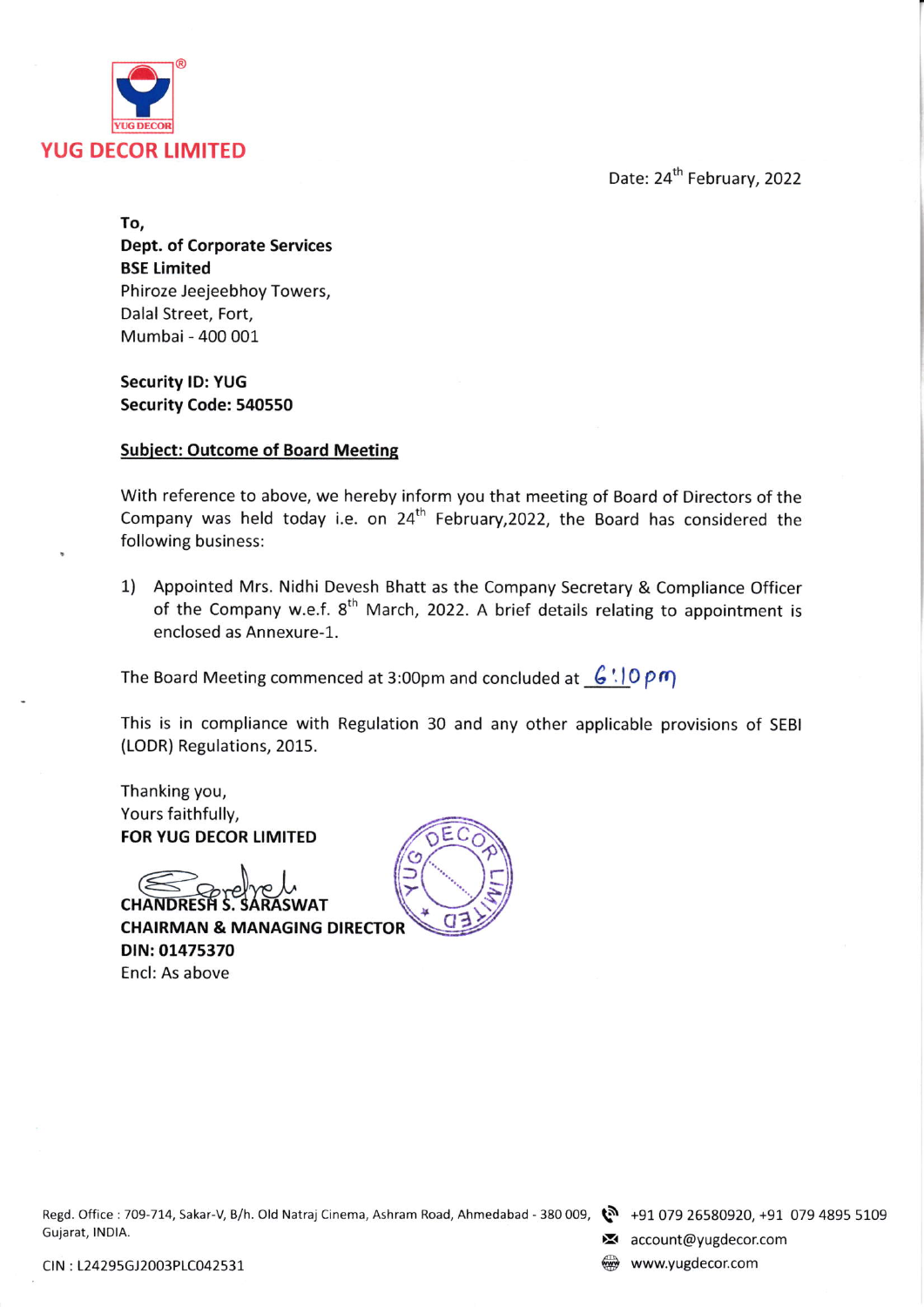

Date: 24<sup>th</sup> February, 2022

To, Dept. of Corporate Services BSE timited Phiroze Jeejeebhoy Towers, Dalal Street, Fort, Mumbai - 400 001

Security lD: YUG Security Code: 540550

## Subiect: Outcome of Board Meetine

With reference to above, we hereby inform you that meeting of Board of Directors of the Company was held today i.e. on  $24^{th}$  February, 2022, the Board has considered the following business:

1) Appointed Mrs. Nidhi Devesh Bhatt as the Company Secretary & Compliance Officer of the Company w.e.f.  $8^{th}$  March, 2022. A brief details relating to appointment is enclosed as Annexure-1.

The Board Meeting commenced at 3:00pm and concluded at  $-6$ .  $\sqrt{0 \rho \eta}$ 

This is in compliance with Regulation 30 and any other applicable provisions of SEBI (LODR) Regulations, 2015.

Thanking you, Yours faithfully, FOR YUG DECOR LIMITED

**CHANDRESH S. SARASWAT** CHAIRMAN & MANAGING DiRECTOR DIN:01475370 Encl: As above



Regd. Office: 709-714, Sakar-V, B/h. Old Natraj Cinema, Ashram Road, Ahmedabad - 380 009,  $\bullet$  +91 079 26580920, +91 079 4895 5109<br>Gujarat, INDIA.

 $\blacktriangleright$  account@yugdecor.com

CIN : L24295GJ2003PLC042531 Solution of the control of the control of the control of the control of the control of the control of the control of the control of the control of the control of the control of the control of th